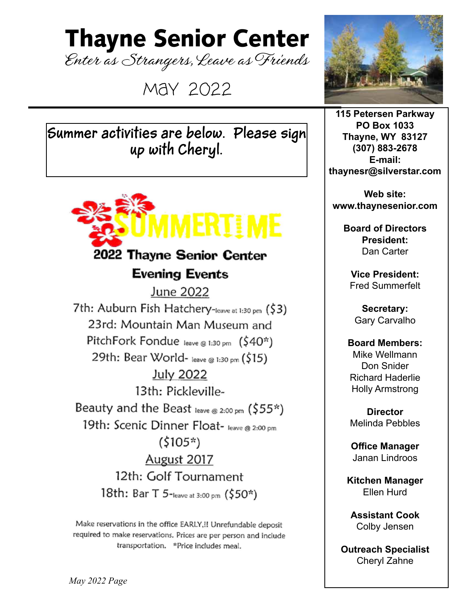### Thayne Senior Center

Enter as Strangers, Leave as Friends

May 2022

**Summer activities are below. Please sign up with Cheryl.** 



Make reservations in the office EARLY, !! Unrefundable deposit required to make reservations. Prices are per person and include transportation. \*Price includes meal.



**115 Petersen Parkway PO Box 1033 Thayne, WY 83127 (307) 883-2678 E-mail: thaynesr@silverstar.com**

**Web site: www.thaynesenior.com**

> **Board of Directors President:** Dan Carter

**Vice President:** Fred Summerfelt

**Secretary:** Gary Carvalho

#### **Board Members:** Mike Wellmann Don Snider Richard Haderlie Holly Armstrong

**Director** Melinda Pebbles

**Office Manager** Janan Lindroos

**Kitchen Manager** Ellen Hurd

**Assistant Cook** Colby Jensen

**Outreach Specialist** Cheryl Zahne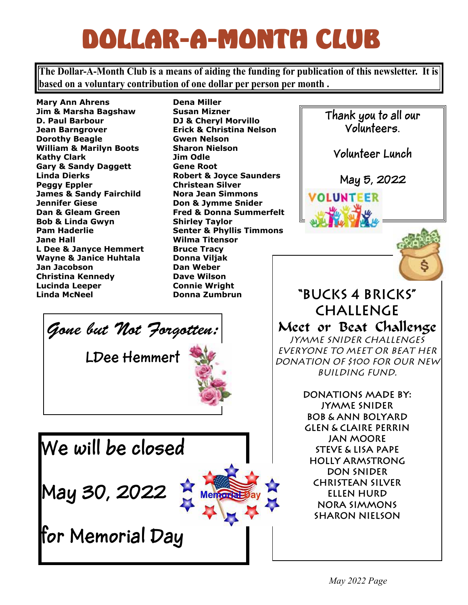## DOLLAR-A-MONTH CLUB

**The Dollar-A-Month Club is a means of aiding the funding for publication of this newsletter. It is based on a voluntary contribution of one dollar per person per month .**

**Mary Ann Ahrens Jim & Marsha Bagshaw D. Paul Barbour Jean Barngrover Dorothy Beagle William & Marilyn Boots Kathy Clark Gary & Sandy Daggett Linda Dierks Peggy Eppler James & Sandy Fairchild Jennifer Giese Dan & Gleam Green Bob & Linda Gwyn Pam Haderlie Jane Hall L Dee & Janyce Hemmert Wayne & Janice Huhtala Jan Jacobson Christina Kennedy Lucinda Leeper Linda McNeel**

Gone but Not Forgotten:

**LDee Hemmert**

**We will be closed**

**May 30, 2022** 

**for Memorial Day**

**Dena Miller Susan Mizner DJ & Cheryl Morvillo Erick & Christina Nelson Gwen Nelson Sharon Nielson Jim Odle Gene Root Robert & Joyce Saunders Christean Silver Nora Jean Simmons Don & Jymme Snider Fred & Donna Summerfelt Shirley Taylor Senter & Phyllis Timmons Wilma Titensor Bruce Tracy Donna Viljak Dan Weber Dave Wilson Connie Wright Donna Zumbrun**

**Thank you to all our Volunteers. Volunteer Lunch May 5, 2022OLUNTEER "Bucks 4 Bricks" Challenge** Meet or Beat Challenge *Jymme Snider challenges everyone to meet or beat her donation of \$100 for our new building fund.*

**Donations made by: Jymme Snider Bob & Ann Bolyard Glen & Claire Perrin Jan Moore Steve & Lisa Pape Holly Armstrong Don Snider Christean Silver Ellen Hurd Nora Simmons Sharon Nielson**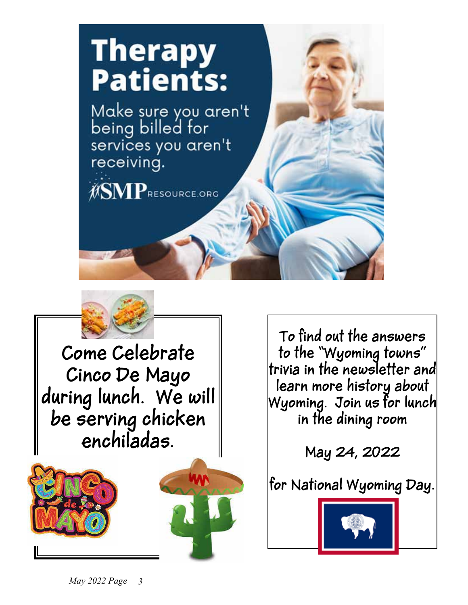

**Come Celebrate Cinco De Mayo during lunch. We will be serving chicken enchiladas.**





**To find out the answers to the "Wyoming towns" trivia in the newsletter and learn more history about Wyoming. Join us for lunch in the dining room**

**May 24, 2022**

**for National Wyoming Day.**

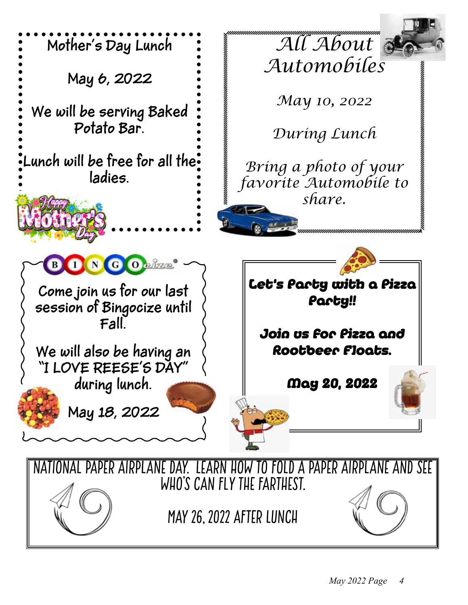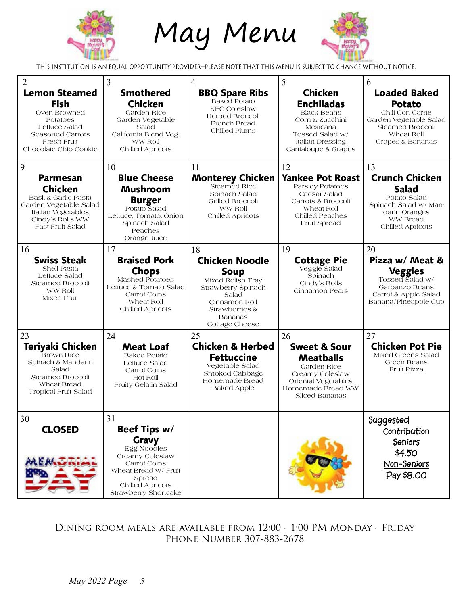

# May Menu



This Institution is an Equal Opportunity Provider--Please note that this menu is subject to change without notice.

| 2<br><b>Lemon Steamed</b><br><b>Fish</b><br>Oven Browned<br>Potatoes<br>Lettuce Salad<br>Seasoned Carrots<br><b>Fresh Fruit</b><br>Chocolate Chip Cookie      | 3<br><b>Smothered</b><br><b>Chicken</b><br>Garden Rice<br>Garden Vegetable<br>Salad<br>California Blend Veg.<br>WW Roll<br>Chilled Apricots                 | 4<br><b>BBQ Spare Ribs</b><br><b>Baked Potato</b><br><b>KFC Coleslaw</b><br>Herbed Broccoli<br>French Bread<br>Chilled Plums                                          | 5<br><b>Chicken</b><br><b>Enchiladas</b><br><b>Black Beans</b><br>Corn & Zucchini<br>Mexicana<br>Tossed Salad w/<br><b>Italian Dressing</b><br>Cantaloupe & Grapes | 6<br><b>Loaded Baked</b><br><b>Potato</b><br>Chili Con Carne<br>Garden Vegetable Salad<br>Steamed Broccoli<br>Wheat Roll<br>Grapes & Bananas |
|---------------------------------------------------------------------------------------------------------------------------------------------------------------|-------------------------------------------------------------------------------------------------------------------------------------------------------------|-----------------------------------------------------------------------------------------------------------------------------------------------------------------------|--------------------------------------------------------------------------------------------------------------------------------------------------------------------|----------------------------------------------------------------------------------------------------------------------------------------------|
| 9<br><b>Parmesan</b><br><b>Chicken</b><br>Basil & Garlic Pasta<br>Garden Vegetable Salad<br>Italian Vegetables<br>Cindy's Rolls WW<br><b>Fast Fruit Salad</b> | 10<br><b>Blue Cheese</b><br><b>Mushroom</b><br><b>Burger</b><br>Potato Salad<br>Lettuce, Tomato, Onion<br>Spinach Salad<br>Peaches<br>Orange Juice          | 11<br><b>Monterey Chicken</b><br>Steamed Rice<br>Spinach Salad<br>Grilled Broccoli<br>WW Roll<br>Chilled Apricots                                                     | 12<br><b>Yankee Pot Roast</b><br>Parsley Potatoes<br>Caesar Salad<br>Carrots & Broccoli<br>Wheat Roll<br>Chilled Peaches<br>Fruit Spread                           | 13<br><b>Crunch Chicken</b><br><b>Salad</b><br>Potato Salad<br>Spinach Salad w/ Man-<br>darin Oranges<br>WW Bread<br>Chilled Apricots        |
| 16<br><b>Swiss Steak</b><br>Shell Pasta<br>Lettuce Salad<br>Steamed Broccoli<br>WW Roll<br>Mixed Fruit                                                        | 17<br><b>Braised Pork</b><br><b>Chops</b><br>Mashed Potatoes<br>Lettuce & Tomato Salad<br>Carrot Coins<br>Wheat Roll<br>Chilled Apricots                    | 18<br><b>Chicken Noodle</b><br><b>Soup</b><br>Mixed Relish Tray<br>Strawberry Spinach<br>Salad<br>Cinnamon Roll<br>Strawberries &<br><b>Bananas</b><br>Cottage Cheese | 19<br><b>Cottage Pie</b><br>Veggie Salad<br>Spinach<br>Cindy's Rolls<br>Cinnamon Pears                                                                             | 20<br>Pizza w/ Meat &<br><b>Veggies</b><br>Tossed Salad w/<br>Garbanzo Beans<br>Carrot & Apple Salad<br>Banana/Pineapple Cup                 |
| 23<br>Teriyaki Chicken<br><b>Brown Rice</b><br>Spinach & Mandarin<br>Salad<br><b>Steamed Broccoli</b><br>Wheat Bread<br><b>Tropical Fruit Salad</b>           | 24<br><b>Meat Loaf</b><br><b>Baked Potato</b><br>Lettuce Salad<br>Carrot Coins<br>Hot Roll<br>Fruity Gelatin Salad                                          | 25<br><b>Chicken &amp; Herbed</b><br><b>Fettuccine</b><br>Vegetable Salad<br>Smoked Cabbage<br>Homemade Bread<br><b>Baked Apple</b>                                   | 26<br><b>Sweet &amp; Sour</b><br><b>Meatballs</b><br>Garden Rice<br>Creamy Coleslaw<br>Oriental Vegetables<br>Homemade Bread WW<br>Sliced Bananas                  | 27<br><b>Chicken Pot Pie</b><br>Mixed Greens Salad<br>Green Beans<br><b>Fruit Pizza</b>                                                      |
| 30<br><b>CLOSED</b>                                                                                                                                           | 31<br>Beef Tips w/<br>Gravy<br>Egg Noodles<br>Creamy Coleslaw<br>Carrot Coins<br>Wheat Bread w/ Fruit<br>Spread<br>Chilled Apricots<br>Strawberry Shortcake |                                                                                                                                                                       |                                                                                                                                                                    | Suggested<br>Contribution<br><b>Seniors</b><br>\$4.50<br>Non-Seniors<br>Pay \$8.00                                                           |

Dining room meals are available from 12:00 - 1:00 PM Monday - Friday Phone Number 307-883-2678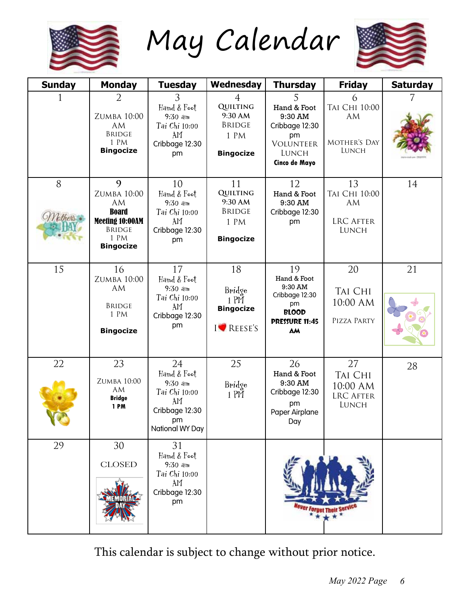

May Calendar



| <b>Sunday</b> | <b>Monday</b>                                                                                                 | <b>Tuesday</b>                                                                                   | Wednesday                                                                                 | <b>Thursday</b>                                                                                     | <b>Friday</b>                                                          | <b>Saturday</b> |
|---------------|---------------------------------------------------------------------------------------------------------------|--------------------------------------------------------------------------------------------------|-------------------------------------------------------------------------------------------|-----------------------------------------------------------------------------------------------------|------------------------------------------------------------------------|-----------------|
|               | $\overline{2}$<br>ZUMBA 10:00<br><b>AM</b><br><b>BRIDGE</b><br>1 PM<br><b>Bingocize</b>                       | 3<br>Hand & Foot<br>$9:30$ am<br>Tai Chi 10:00<br>AM<br>Cribbage 12:30<br>pm                     | $\overline{4}$<br><b>QUILTING</b><br>9:30 AM<br><b>BRIDGE</b><br>1 PM<br><b>Bingocize</b> | 5<br>Hand & Foot<br>9:30 AM<br>Cribbage 12:30<br>pm<br>VOLUNTEER<br>LUNCH<br>Cinco de Mayo          | 6<br>TAI CHI 10:00<br><b>AM</b><br><b>MOTHER'S DAY</b><br><b>LUNCH</b> |                 |
| 8<br>Mother.  | 9<br>ZUMBA 10:00<br><b>AM</b><br><b>Board</b><br>Meeting 10:00AM<br><b>BRIDGE</b><br>1 PM<br><b>Bingocize</b> | 10<br>Hand & Foot<br>$9:30$ am<br>Tai Chi 10:00<br>AM<br>Cribbage 12:30<br>pm                    | 11<br><b>QUILTING</b><br>9:30 AM<br><b>BRIDGE</b><br>1 PM<br><b>Bingocize</b>             | 12<br>Hand & Foot<br>9:30 AM<br>Cribbage 12:30<br>pm                                                | 13<br>TAI CHI 10:00<br><b>AM</b><br><b>LRC AFTER</b><br><b>LUNCH</b>   | 14              |
| 15            | 16<br>ZUMBA 10:00<br><b>AM</b><br><b>BRIDGE</b><br>1 PM<br><b>Bingocize</b>                                   | 17<br>Hand & Foot<br>$9:30$ am<br>Tai Chi 10:00<br>AM<br>Cribbage 12:30<br>pm                    | 18<br>Bridge<br>$1$ PM<br><b>Bingocize</b><br>I REESE'S                                   | 19<br>Hand & Foot<br>9:30 AM<br>Cribbage 12:30<br>pm<br><b>BLOOD</b><br><b>PRESSURE 11:45</b><br>AM | 20<br><b>TAI CHI</b><br>10:00 AM<br>PIZZA PARTY                        | 21              |
| 22            | 23<br><b>ZUMBA 10:00</b><br>AM<br><b>Bridge</b><br>1PM                                                        | 24<br>Hand & Foot<br>$9:30$ am<br>Tai Chi 10:00<br>AM<br>Cribbage 12:30<br>pm<br>National WY Day | 25<br>Bridge<br>$1$ PM                                                                    | 26<br>Hand & Foot<br>9:30 AM<br>Cribbage 12:30<br>pm<br>Paper Airplane<br>Day                       | 27<br><b>TAI CHI</b><br>10:00 AM<br><b>LRC AFTER</b><br>LUNCH          | 28              |
| 29            | 30<br><b>CLOSED</b>                                                                                           | 31<br>Hand & Foot<br>$9:30$ am<br>Tai Chi 10:00<br>AM<br>Cribbage 12:30<br>pm                    |                                                                                           |                                                                                                     |                                                                        |                 |

This calendar is subject to change without prior notice.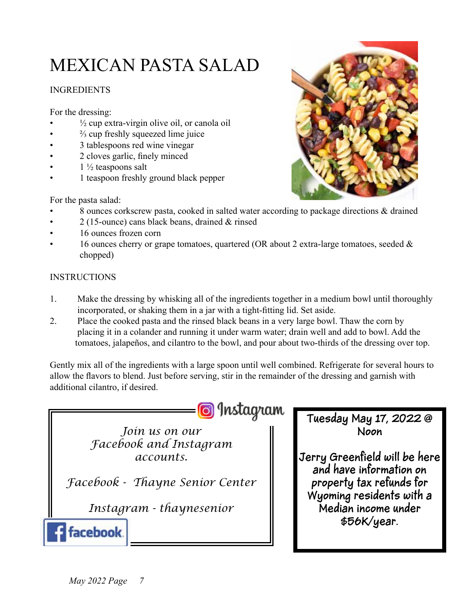### MEXICAN PASTA SALAD

#### **INGREDIENTS**

For the dressing:

- $\frac{1}{2}$  cup extra-virgin olive oil, or canola oil
- $\frac{2}{3}$  cup freshly squeezed lime juice
- 3 tablespoons red wine vinegar
- 2 cloves garlic, finely minced
- $1\frac{1}{2}$  teaspoons salt
- 1 teaspoon freshly ground black pepper

For the pasta salad:

- 8 ounces corkscrew pasta, cooked in salted water according to package directions & drained
- $2(15$ -ounce) cans black beans, drained  $&$  rinsed
- 16 ounces frozen corn
- 16 ounces cherry or grape tomatoes, quartered (OR about 2 extra-large tomatoes, seeded  $\&$ chopped)

#### **INSTRUCTIONS**

- 1. Make the dressing by whisking all of the ingredients together in a medium bowl until thoroughly incorporated, or shaking them in a jar with a tight-fitting lid. Set aside.
- 2. Place the cooked pasta and the rinsed black beans in a very large bowl. Thaw the corn by placing it in a colander and running it under warm water; drain well and add to bowl. Add the tomatoes, jalapeños, and cilantro to the bowl, and pour about two-thirds of the dressing over top.

Gently mix all of the ingredients with a large spoon until well combined. Refrigerate for several hours to allow the flavors to blend. Just before serving, stir in the remainder of the dressing and garnish with additional cilantro, if desired.



*Join us on our Facebook and Instagram accounts.*

*Facebook - Thayne Senior Center*

*Instagram - thaynesenior*

**Tuesday May 17, 2022 @ Noon**

**Jerry Greenfield will be here and have information on property tax refunds for Wyoming residents with a Median income under \$56K/year.**



facebook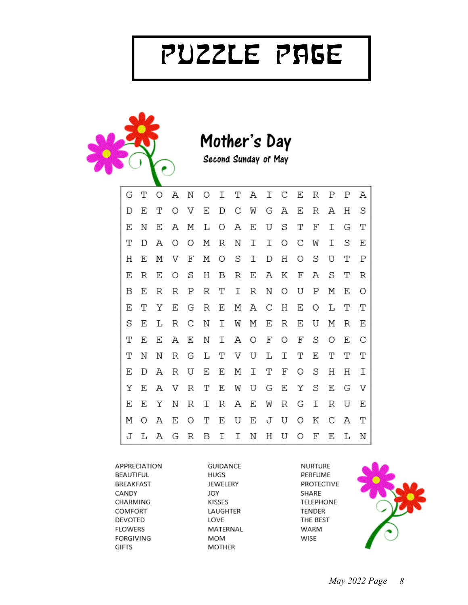# Puzzle Page



Mother's Day

Second Sunday of May

| G | Т | Ο | Α | Ν | O | Ι |   | T A |   | I C E |   | R       | Ρ | Ρ | Α |
|---|---|---|---|---|---|---|---|-----|---|-------|---|---------|---|---|---|
| D | Ε | Т | Ω | V | Ε | D | С | W   | G | А     | Е | R       | А | Η | S |
| Ε | Ν | Ε | Α | Μ | L | O | А | Ε   | U | S     | Т | F       | Ι | G | Т |
| Т | D | Α | 0 | Ο | Μ | R | Ν | Ι   | Ι | O     | С | W       | Ι | S | Ε |
| Η | Ε | Μ | V | F | Μ | O | S | Ι   | D | Η     | O | S       | U | Т | Ρ |
| Ε | R | Ε | O | S | Η | Β | R | Ε   | Α | Κ     | F | Α       | S | Т | R |
| В | Ε | R | R | Ρ | R | Τ | Ι | R   | Ν | O     | U | Ρ       | Μ | Ε | 0 |
| Ε | Т | Υ | Ε | G | R | Ε |   | M A | С | H     | Ε | $\circ$ | L | т | Т |
| S | Ε | L | R | С | Ν | Ι | W | Μ   | Ε | R     | Ε | U       | Μ | R | Ε |
| Τ | Ε | Ε | Α | Ε | Ν | Ι | А | O   | F | O     | F | S       | O | Ε | С |
| Т | Ν | Ν | R | G | L | Т | V | U   | L | Ι     | Т | Ε       | Т | Т | Т |
| Ε | D | Α | R | U | Ε | Ε | Μ | Ι   | Т | F     | O | S       | Η | Η | Ι |
| Υ | Ε | Α | V | R | Т | Ε | W | U   | G | Ε     | Y | S       | Ε | G | V |
| Ε | Ε | Υ | Ν | R | Ι | R | А | Ε   | W | R     | G | Ι       | R | U | Ε |
| М | Ω | Α | Ε | O | Т | Ε | U | Ε   | J | U     | O | Κ       | С | A | Т |
| J | L | Α | G | R | В | Ι | Ι | Ν   | Η | U     | O | F       | Ε | L | Ν |

APPRECIATION BEAUTIFUL BREAKFAST CANDY CHARMING COMFORT DEVOTED **FLOWERS** FORGIVING GIFTS

GUIDANCE HUGS JEWELERY JOY KISSES LAUGHTER LOVE MATERNAL MOM **MOTHER** 

NURTURE PERFUME PROTECTIVE SHARE **TELEPHONE** TENDER THE BEST WARM WISE

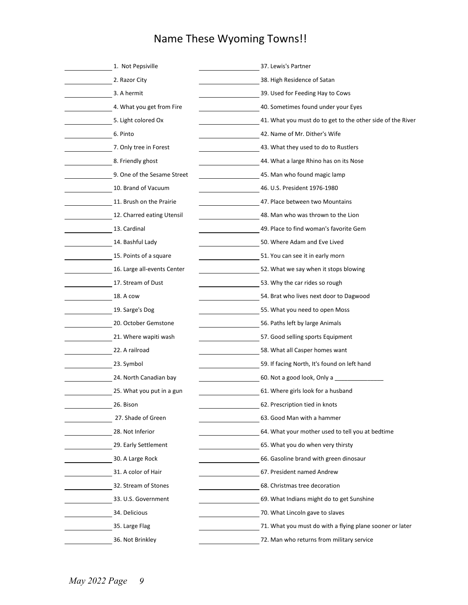### Name These Wyoming Towns!!

| 1. Not Pepsiville           | 37. Lewis's Partner                                        |  |  |  |  |  |  |
|-----------------------------|------------------------------------------------------------|--|--|--|--|--|--|
| 2. Razor City               | 38. High Residence of Satan                                |  |  |  |  |  |  |
| 3. A hermit                 | 39. Used for Feeding Hay to Cows                           |  |  |  |  |  |  |
| 4. What you get from Fire   | 40. Sometimes found under your Eyes                        |  |  |  |  |  |  |
| 5. Light colored Ox         | 41. What you must do to get to the other side of the River |  |  |  |  |  |  |
| 6. Pinto                    | 42. Name of Mr. Dither's Wife                              |  |  |  |  |  |  |
| 7. Only tree in Forest      | 43. What they used to do to Rustlers                       |  |  |  |  |  |  |
| 8. Friendly ghost           | 44. What a large Rhino has on its Nose                     |  |  |  |  |  |  |
| 9. One of the Sesame Street | 45. Man who found magic lamp                               |  |  |  |  |  |  |
| 10. Brand of Vacuum         | 46. U.S. President 1976-1980                               |  |  |  |  |  |  |
| 11. Brush on the Prairie    | 47. Place between two Mountains                            |  |  |  |  |  |  |
| 12. Charred eating Utensil  | 48. Man who was thrown to the Lion                         |  |  |  |  |  |  |
| 13. Cardinal                | 49. Place to find woman's favorite Gem                     |  |  |  |  |  |  |
| 14. Bashful Lady            | 50. Where Adam and Eve Lived                               |  |  |  |  |  |  |
| 15. Points of a square      | 51. You can see it in early morn                           |  |  |  |  |  |  |
| 16. Large all-events Center | 52. What we say when it stops blowing                      |  |  |  |  |  |  |
| 17. Stream of Dust          | 53. Why the car rides so rough                             |  |  |  |  |  |  |
| 18. A cow                   | 54. Brat who lives next door to Dagwood                    |  |  |  |  |  |  |
| 19. Sarge's Dog             | 55. What you need to open Moss                             |  |  |  |  |  |  |
| 20. October Gemstone        | 56. Paths left by large Animals                            |  |  |  |  |  |  |
| 21. Where wapiti wash       | 57. Good selling sports Equipment                          |  |  |  |  |  |  |
| 22. A railroad              | 58. What all Casper homes want                             |  |  |  |  |  |  |
| 23. Symbol                  | 59. If facing North, It's found on left hand               |  |  |  |  |  |  |
| 24. North Canadian bay      |                                                            |  |  |  |  |  |  |
| 25. What you put in a gun   | 61. Where girls look for a husband                         |  |  |  |  |  |  |
| 26. Bison                   | 62. Prescription tied in knots                             |  |  |  |  |  |  |
| 27. Shade of Green          | 63. Good Man with a hammer                                 |  |  |  |  |  |  |
| 28. Not Inferior            | 64. What your mother used to tell you at bedtime           |  |  |  |  |  |  |
| 29. Early Settlement        | 65. What you do when very thirsty                          |  |  |  |  |  |  |
| 30. A Large Rock            | 66. Gasoline brand with green dinosaur                     |  |  |  |  |  |  |
| 31. A color of Hair         | 67. President named Andrew                                 |  |  |  |  |  |  |
| 32. Stream of Stones        | 68. Christmas tree decoration                              |  |  |  |  |  |  |
| 33. U.S. Government         | 69. What Indians might do to get Sunshine                  |  |  |  |  |  |  |
| 34. Delicious               | 70. What Lincoln gave to slaves                            |  |  |  |  |  |  |
| 35. Large Flag              | 71. What you must do with a flying plane sooner or later   |  |  |  |  |  |  |
| 36. Not Brinkley            | 72. Man who returns from military service                  |  |  |  |  |  |  |